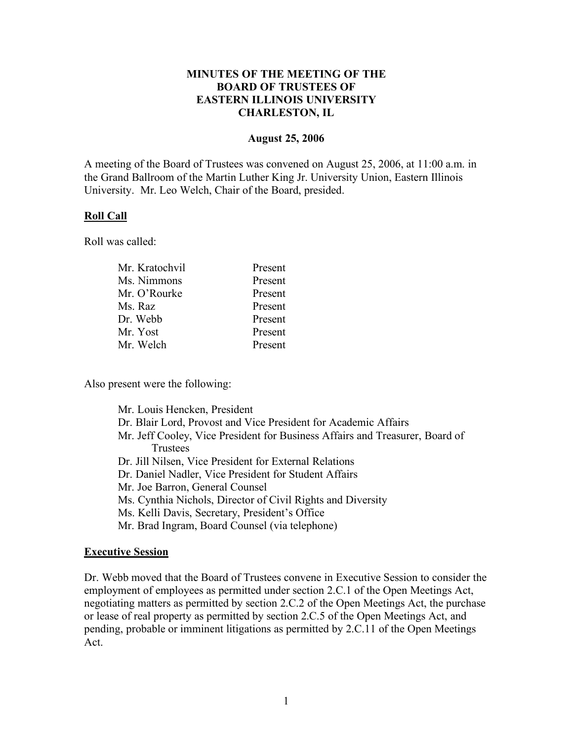## **MINUTES OF THE MEETING OF THE BOARD OF TRUSTEES OF EASTERN ILLINOIS UNIVERSITY CHARLESTON, IL**

#### **August 25, 2006**

A meeting of the Board of Trustees was convened on August 25, 2006, at 11:00 a.m. in the Grand Ballroom of the Martin Luther King Jr. University Union, Eastern Illinois University. Mr. Leo Welch, Chair of the Board, presided.

## **Roll Call**

Roll was called:

| Mr. Kratochvil | Present |
|----------------|---------|
| Ms. Nimmons    | Present |
| Mr. O'Rourke   | Present |
| Ms. Raz        | Present |
| Dr. Webb       | Present |
| Mr. Yost       | Present |
| Mr. Welch      | Present |
|                |         |

Also present were the following:

Mr. Louis Hencken, President Dr. Blair Lord, Provost and Vice President for Academic Affairs Mr. Jeff Cooley, Vice President for Business Affairs and Treasurer, Board of Trustees Dr. Jill Nilsen, Vice President for External Relations Dr. Daniel Nadler, Vice President for Student Affairs Mr. Joe Barron, General Counsel Ms. Cynthia Nichols, Director of Civil Rights and Diversity Ms. Kelli Davis, Secretary, President's Office Mr. Brad Ingram, Board Counsel (via telephone)

## **Executive Session**

Dr. Webb moved that the Board of Trustees convene in Executive Session to consider the employment of employees as permitted under section 2.C.1 of the Open Meetings Act, negotiating matters as permitted by section 2.C.2 of the Open Meetings Act, the purchase or lease of real property as permitted by section 2.C.5 of the Open Meetings Act, and pending, probable or imminent litigations as permitted by 2.C.11 of the Open Meetings Act.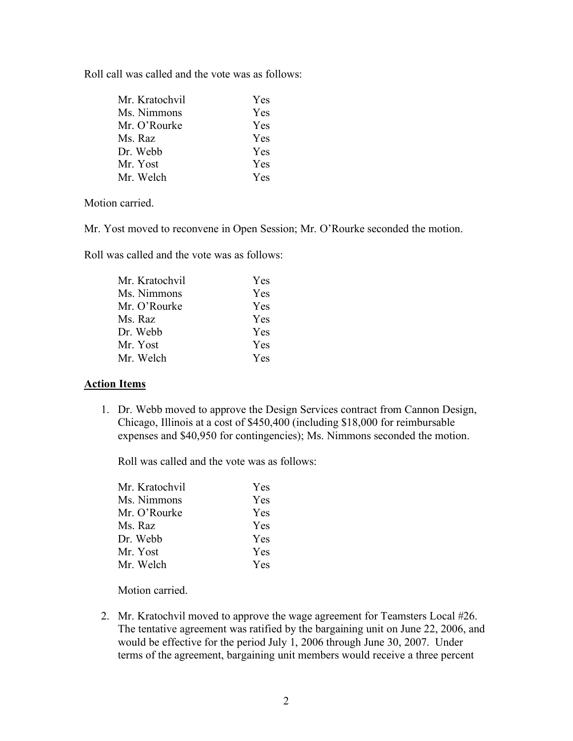Roll call was called and the vote was as follows:

| Mr. Kratochvil | Yes        |
|----------------|------------|
| Ms. Nimmons    | Yes        |
| Mr. O'Rourke   | <b>Yes</b> |
| Ms. Raz        | Yes        |
| Dr. Webb       | <b>Yes</b> |
| Mr. Yost       | Yes        |
| Mr. Welch      | <b>Yes</b> |

Motion carried.

Mr. Yost moved to reconvene in Open Session; Mr. O'Rourke seconded the motion.

Roll was called and the vote was as follows:

| Yes        |
|------------|
| Yes        |
| <b>Yes</b> |
| Yes        |
| <b>Yes</b> |
| Yes        |
| Yes        |
|            |

#### **Action Items**

1. Dr. Webb moved to approve the Design Services contract from Cannon Design, Chicago, Illinois at a cost of \$450,400 (including \$18,000 for reimbursable expenses and \$40,950 for contingencies); Ms. Nimmons seconded the motion.

Roll was called and the vote was as follows:

| Mr. Kratochvil | <b>Yes</b> |
|----------------|------------|
| Ms. Nimmons    | Yes        |
| Mr. O'Rourke   | <b>Yes</b> |
| Ms. Raz        | Yes        |
| Dr. Webb       | Yes        |
| Mr. Yost       | <b>Yes</b> |
| Mr. Welch      | <b>Yes</b> |

Motion carried.

2. Mr. Kratochvil moved to approve the wage agreement for Teamsters Local #26. The tentative agreement was ratified by the bargaining unit on June 22, 2006, and would be effective for the period July 1, 2006 through June 30, 2007. Under terms of the agreement, bargaining unit members would receive a three percent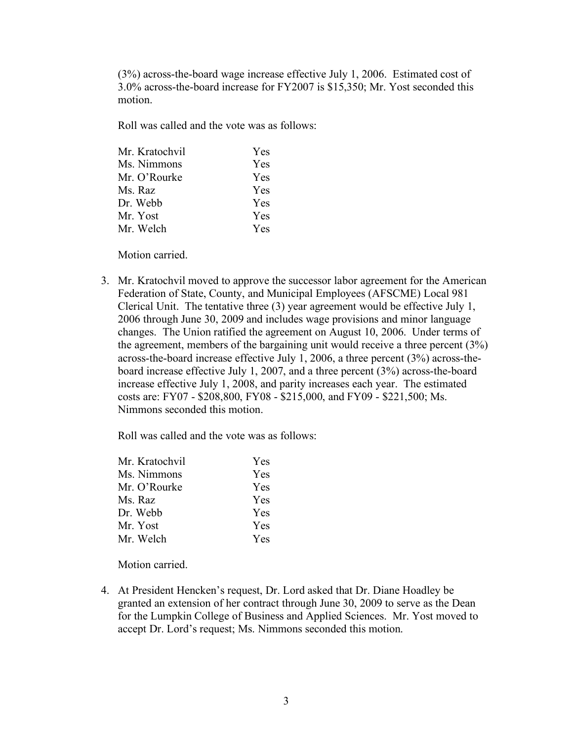(3%) across-the-board wage increase effective July 1, 2006. Estimated cost of 3.0% across-the-board increase for FY2007 is \$15,350; Mr. Yost seconded this motion.

Roll was called and the vote was as follows:

| Mr. Kratochvil | Yes        |
|----------------|------------|
| Ms. Nimmons    | Yes        |
| Mr. O'Rourke   | <b>Yes</b> |
| Ms. Raz        | <b>Yes</b> |
| Dr. Webb       | <b>Yes</b> |
| Mr. Yost       | Yes        |
| Mr. Welch      | <b>Yes</b> |
|                |            |

Motion carried.

3. Mr. Kratochvil moved to approve the successor labor agreement for the American Federation of State, County, and Municipal Employees (AFSCME) Local 981 Clerical Unit. The tentative three (3) year agreement would be effective July 1, 2006 through June 30, 2009 and includes wage provisions and minor language changes. The Union ratified the agreement on August 10, 2006. Under terms of the agreement, members of the bargaining unit would receive a three percent (3%) across-the-board increase effective July 1, 2006, a three percent (3%) across-theboard increase effective July 1, 2007, and a three percent (3%) across-the-board increase effective July 1, 2008, and parity increases each year. The estimated costs are: FY07 - \$208,800, FY08 - \$215,000, and FY09 - \$221,500; Ms. Nimmons seconded this motion.

Roll was called and the vote was as follows:

| Yes |
|-----|
| Yes |
| Yes |
| Yes |
| Yes |
| Yes |
| Yes |
|     |

Motion carried.

4. At President Hencken's request, Dr. Lord asked that Dr. Diane Hoadley be granted an extension of her contract through June 30, 2009 to serve as the Dean for the Lumpkin College of Business and Applied Sciences. Mr. Yost moved to accept Dr. Lord's request; Ms. Nimmons seconded this motion.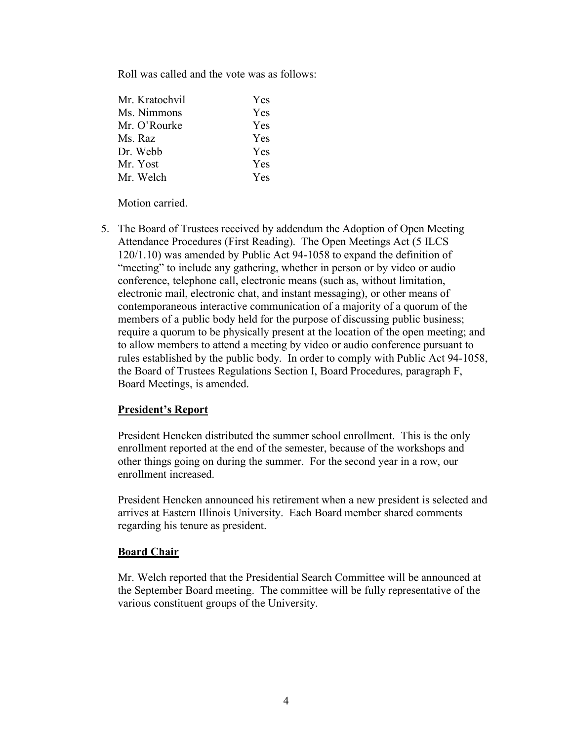Roll was called and the vote was as follows:

| Mr. Kratochvil | Yes |
|----------------|-----|
| Ms. Nimmons    | Yes |
| Mr. O'Rourke   | Yes |
| Ms. Raz        | Yes |
| Dr. Webb       | Yes |
| Mr. Yost       | Yes |
| Mr. Welch      | Yes |

Motion carried.

5. The Board of Trustees received by addendum the Adoption of Open Meeting Attendance Procedures (First Reading). The Open Meetings Act (5 ILCS 120/1.10) was amended by Public Act 94-1058 to expand the definition of "meeting" to include any gathering, whether in person or by video or audio conference, telephone call, electronic means (such as, without limitation, electronic mail, electronic chat, and instant messaging), or other means of contemporaneous interactive communication of a majority of a quorum of the members of a public body held for the purpose of discussing public business; require a quorum to be physically present at the location of the open meeting; and to allow members to attend a meeting by video or audio conference pursuant to rules established by the public body. In order to comply with Public Act 94-1058, the Board of Trustees Regulations Section I, Board Procedures, paragraph F, Board Meetings, is amended.

## **President's Report**

President Hencken distributed the summer school enrollment. This is the only enrollment reported at the end of the semester, because of the workshops and other things going on during the summer. For the second year in a row, our enrollment increased.

President Hencken announced his retirement when a new president is selected and arrives at Eastern Illinois University. Each Board member shared comments regarding his tenure as president.

## **Board Chair**

Mr. Welch reported that the Presidential Search Committee will be announced at the September Board meeting. The committee will be fully representative of the various constituent groups of the University.